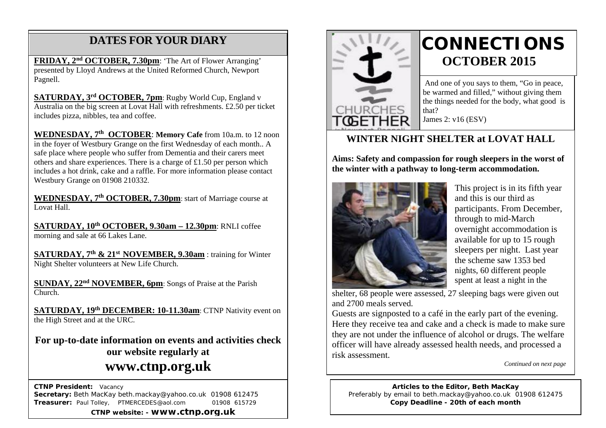## **DATES FOR YOUR DIARY**

**FRIDAY, 2nd OCTOBER, 7.30pm**: 'The Art of Flower Arranging' presented by Lloyd Andrews at the United Reformed Church, Newport Pagnell.

Australia on the big screen at Lovat Hall with refreshments. £2.50 per ticket **SATURDAY, 3rd OCTOBER, 7pm**: Rugby World Cup, England v includes pizza, nibbles, tea and coffee.

**WEDNESDAY, 7th OCTOBER**: **Memory Cafe** from 10a.m. to 12 noon in the foyer of Westbury Grange on the first Wednesday of each month.. A safe place where people who suffer from Dementia and their carers meet others and share experiences. There is a charge of £1.50 per person which includes a hot drink, cake and a raffle. For more information please contact Westbury Grange on 01908 210332.

**WEDNESDAY, 7th OCTOBER, 7.30pm**: start of Marriage course at Lovat Hall.

**SATURDAY, 10th OCTOBER, 9.30am – 12.30pm**: RNLI coffee morning and sale at 66 Lakes Lane.

**SATURDAY, 7th & 21st NOVEMBER, 9.30am** : training for Winter Night Shelter volunteers at New Life Church.

**SUNDAY, 22nd NOVEMBER, 6pm**: Songs of Praise at the Parish Church.

**SATURDAY, 19th DECEMBER: 10-11.30am: CTNP Nativity event on** the High Street and at the URC.

**For up-to-date information on events and activities check our website regularly at www.ctnp.org.uk**

 **CTNP President:** Vacancy **Secretary:** Beth MacKay beth.mackay@yahoo.co.uk 01908 612475 **Treasurer:** Paul Tolley, PTMERCEDES@aol.com 01908 615729

**CTNP website: - www.ctnp.org.uk**



## **CONNECTIONS OCTOBER 2015**

And one of you says to them, "Go in peace, be warmed and filled," without giving them the things needed for the body, what good is that?

James 2: v16 (ESV)

#### **WINTER NIGHT SHELTER at LOVAT HALL**

**Aims: Safety and compassion for rough sleepers in the worst of the winter with a pathway to long-term accommodation.**



This project is in its fifth year and this is our third as participants. From December, through to mid-March overnight accommodation is available for up to 15 rough sleepers per night. Last year the scheme saw 1353 bed nights, 60 different people spent at least a night in the

shelter, 68 people were assessed, 27 sleeping bags were given out and 2700 meals served.

Guests are signposted to a café in the early part of the evening. Here they receive tea and cake and a check is made to make sure they are not under the influence of alcohol or drugs. The welfare officer will have already assessed health needs, and processed a risk assessment.

*Continued on next page*

**Articles to the Editor, Beth MacKay** Preferably by email to beth.mackay@yahoo.co.uk 01908 612475 **Copy Deadline - 20th of each month**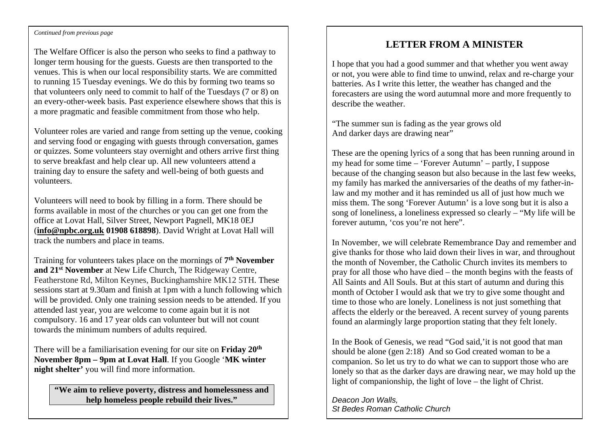#### Continued from previous page

The Welfare Officer is also the person who seeks to find a pathway to longer term housing for the guests. Guests are then transported to the venues. This is when our local responsibility starts. We are committed to running 15 Tuesday evenings. We do this by forming two teams so that volunteers only need to commit to half of the Tuesdays (7 or 8) on an every-other-week basis. Past experience elsewhere shows that this is a more pragmatic and feasible commitment from those who help.

Volunteer roles are varied and range from setting up the venue, cooking and serving food or engaging with guests through conversation, games or quizzes. Some volunteers stay overnight and others arrive first thing to serve breakfast and help clear up. All new volunteers attend a training day to ensure the safety and well-being of both guests and volunteers.

Volunteers will need to book by filling in a form. There should be forms available in most of the churches or you can get one from the office at Lovat Hall, Silver Street, Newport Pagnell, MK18 0EJ (**[info@npbc.org.uk](mailto:info@npbc.org.uk) 01908 618898**). David Wright at Lovat Hall will track the numbers and place in teams.

Training for volunteers takes place on the mornings of **7th November and 21st November** at New Life Church, The Ridgeway Centre, Featherstone Rd, Milton Keynes, Buckinghamshire MK12 5TH. These sessions start at 9.30am and finish at 1pm with a lunch following which will be provided. Only one training session needs to be attended. If you attended last year, you are welcome to come again but it is not compulsory. 16 and 17 year olds can volunteer but will not count towards the minimum numbers of adults required.

There will be a familiarisation evening for our site on **Friday 20th November 8pm – 9pm at Lovat Hall**. If you Google '**MK winter night shelter'** you will find more information.

**"We aim to relieve poverty, distress and homelessness and help homeless people rebuild their lives."**

#### **LETTER FROM A MINISTER**

I hope that you had a good summer and that whether you went away or not, you were able to find time to unwind, relax and re-charge your batteries. As I write this letter, the weather has changed and the forecasters are using the word autumnal more and more frequently to describe the weather.

"The summer sun is fading as the year grows old And darker days are drawing near"

These are the opening lyrics of a song that has been running around in my head for some time – 'Forever Autumn' – partly, I suppose because of the changing season but also because in the last few weeks, my family has marked the anniversaries of the deaths of my father-inlaw and my mother and it has reminded us all of just how much we miss them. The song 'Forever Autumn' is a love song but it is also a song of loneliness, a loneliness expressed so clearly – "My life will be forever autumn, 'cos you're not here".

In November, we will celebrate Remembrance Day and remember and give thanks for those who laid down their lives in war, and throughout the month of November, the Catholic Church invites its members to pray for all those who have died – the month begins with the feasts of All Saints and All Souls. But at this start of autumn and during this month of October I would ask that we try to give some thought and time to those who are lonely. Loneliness is not just something that affects the elderly or the bereaved. A recent survey of young parents found an alarmingly large proportion stating that they felt lonely.

In the Book of Genesis, we read "God said,'it is not good that man should be alone (gen 2:18) And so God created woman to be a companion. So let us try to do what we can to support those who are lonely so that as the darker days are drawing near, we may hold up the light of companionship, the light of love – the light of Christ.

*Deacon Jon Walls, St Bedes Roman Catholic Church*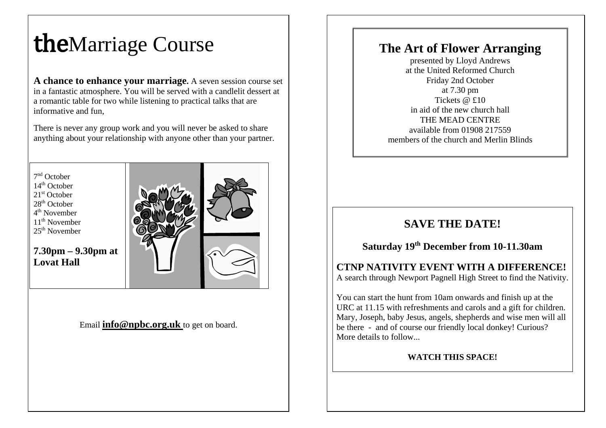# theMarriage Course

**A chance to enhance your marriage.** A seven session course set in a fantastic atmosphere. You will be served with a candlelit dessert at a romantic table for two while listening to practical talks that are informative and fun,

There is never any group work and you will never be asked to share anything about your relationship with anyone other than your partner.

7nd October  $14<sup>th</sup>$  October 21<sup>st</sup> October  $28<sup>th</sup>$  October  $4^{\text{th}}$  November  $11<sup>th</sup>$  November  $25<sup>th</sup>$  November

**7.30pm – 9.30pm at Lovat Hall**



#### Email **[info@npbc.org.uk](mailto:info@npbc.org.uk)** to get on board.

## **The Art of Flower Arranging**

presented by Lloyd Andrews at the United Reformed Church Friday 2nd October at 7.30 pm Tickets  $\omega$  £10 in aid of the new church hall THE MEAD CENTRE available from 01908 217559 members of the church and Merlin Blinds

## **SAVE THE DATE!**

#### **Saturday 19th December from 10-11.30am**

#### **CTNP NATIVITY EVENT WITH A DIFFERENCE!** A search through Newport Pagnell High Street to find the Nativity.

You can start the hunt from 10am onwards and finish up at the URC at 11.15 with refreshments and carols and a gift for children. Mary, Joseph, baby Jesus, angels, shepherds and wise men will all be there - and of course our friendly local donkey! Curious? More details to follow...

#### **WATCH THIS SPACE!**